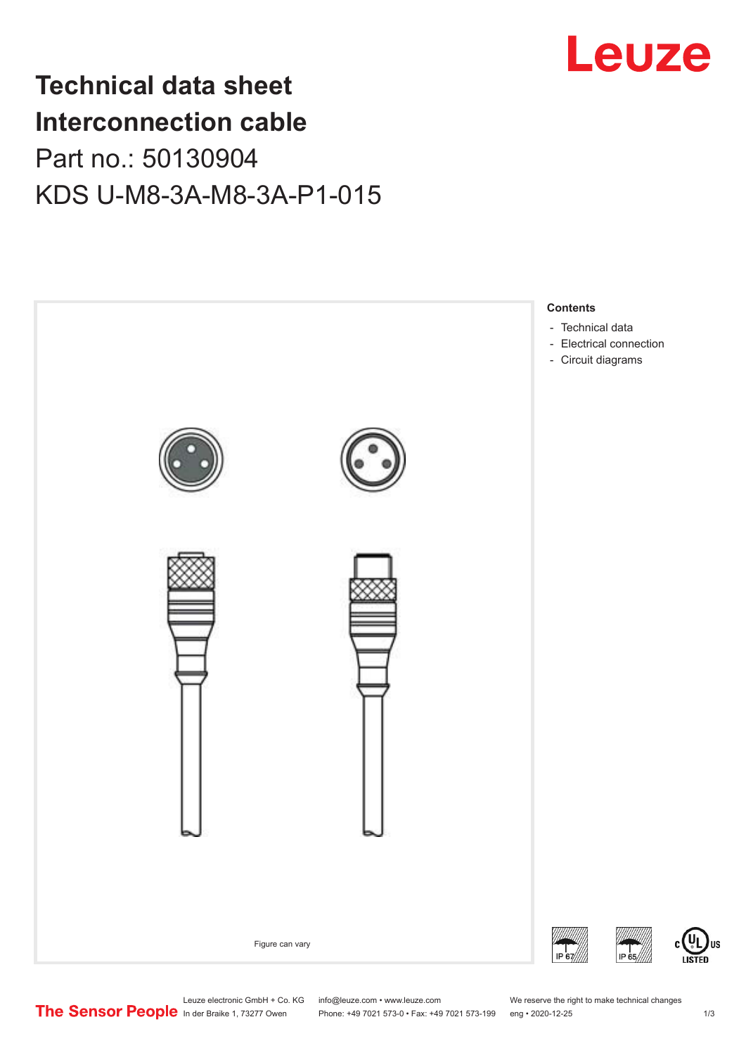

## **Technical data sheet Interconnection cable** Part no.: 50130904 KDS U-M8-3A-M8-3A-P1-015



Leuze electronic GmbH + Co. KG info@leuze.com • www.leuze.com We reserve the right to make technical changes<br>
The Sensor People in der Braike 1, 73277 Owen Phone: +49 7021 573-0 • Fax: +49 7021 573-199 eng • 2020-12-25

Phone: +49 7021 573-0 • Fax: +49 7021 573-199 eng • 2020-12-25 1 2020-12-25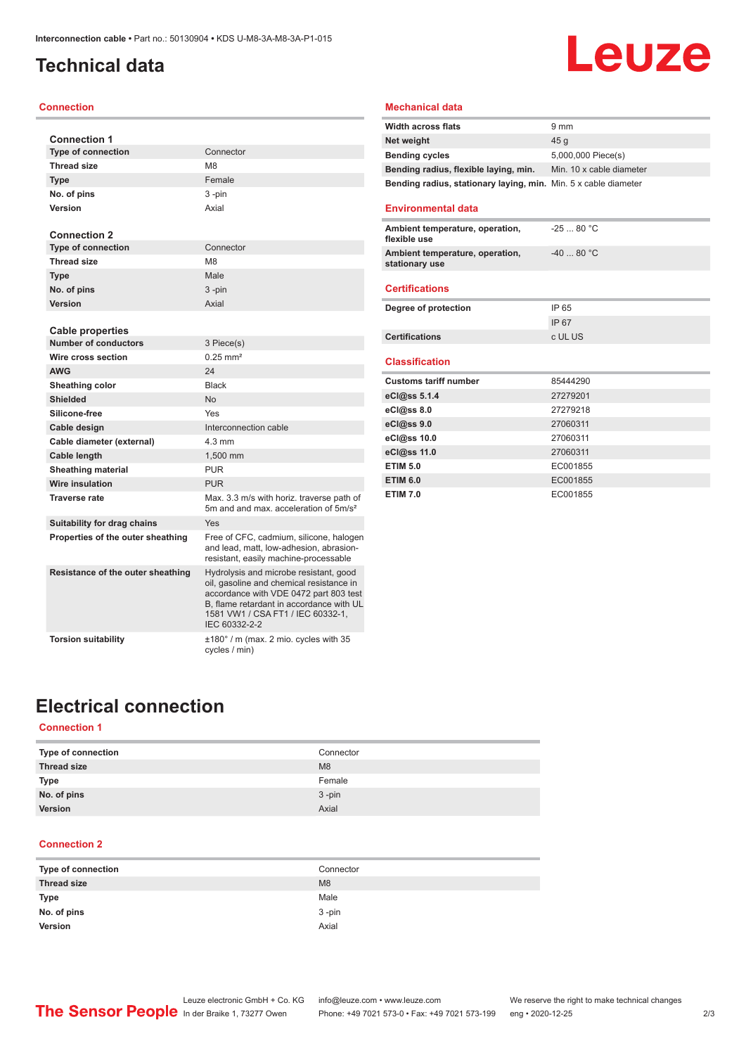## <span id="page-1-0"></span>**Technical data**

#### **Connection**

| <b>Connection 1</b>                                    |                                                                                                                                                                                                                                |
|--------------------------------------------------------|--------------------------------------------------------------------------------------------------------------------------------------------------------------------------------------------------------------------------------|
| <b>Type of connection</b>                              | Connector                                                                                                                                                                                                                      |
| <b>Thread size</b>                                     | M <sub>8</sub>                                                                                                                                                                                                                 |
| <b>Type</b>                                            | Female                                                                                                                                                                                                                         |
| No. of pins                                            | 3-pin                                                                                                                                                                                                                          |
| Version                                                | Axial                                                                                                                                                                                                                          |
|                                                        |                                                                                                                                                                                                                                |
| <b>Connection 2</b>                                    |                                                                                                                                                                                                                                |
| <b>Type of connection</b>                              | Connector                                                                                                                                                                                                                      |
| <b>Thread size</b>                                     | M <sub>8</sub>                                                                                                                                                                                                                 |
| <b>Type</b>                                            | Male                                                                                                                                                                                                                           |
| No. of pins                                            | 3-pin                                                                                                                                                                                                                          |
| Version                                                | Axial                                                                                                                                                                                                                          |
|                                                        |                                                                                                                                                                                                                                |
| <b>Cable properties</b><br><b>Number of conductors</b> | 3 Piece(s)                                                                                                                                                                                                                     |
| Wire cross section                                     | $0.25$ mm <sup>2</sup>                                                                                                                                                                                                         |
| <b>AWG</b>                                             | 24                                                                                                                                                                                                                             |
| Sheathing color                                        | <b>Black</b>                                                                                                                                                                                                                   |
| Shielded                                               | No                                                                                                                                                                                                                             |
| Silicone-free                                          | Yes                                                                                                                                                                                                                            |
| Cable design                                           | Interconnection cable                                                                                                                                                                                                          |
| Cable diameter (external)                              | $4.3 \text{ mm}$                                                                                                                                                                                                               |
| Cable length                                           | 1,500 mm                                                                                                                                                                                                                       |
| <b>Sheathing material</b>                              | <b>PUR</b>                                                                                                                                                                                                                     |
| <b>Wire insulation</b>                                 | <b>PUR</b>                                                                                                                                                                                                                     |
| <b>Traverse rate</b>                                   | Max. 3.3 m/s with horiz. traverse path of                                                                                                                                                                                      |
|                                                        | 5m and and max acceleration of 5m/s <sup>2</sup>                                                                                                                                                                               |
| Suitability for drag chains                            | Yes                                                                                                                                                                                                                            |
| Properties of the outer sheathing                      | Free of CFC, cadmium, silicone, halogen<br>and lead, matt, low-adhesion, abrasion-<br>resistant, easily machine-processable                                                                                                    |
| Resistance of the outer sheathing                      | Hydrolysis and microbe resistant, good<br>oil, gasoline and chemical resistance in<br>accordance with VDE 0472 part 803 test<br>B. flame retardant in accordance with UL<br>1581 VW1 / CSA FT1 / IEC 60332-1.<br>IEC 60332-2-2 |
| <b>Torsion suitability</b>                             | $\pm 180^\circ$ / m (max. 2 mio. cycles with 35<br>cycles / min)                                                                                                                                                               |

## **Leuze**

### **Mechanical data**

| <b>Width across flats</b>                                       | $9 \text{ mm}$           |
|-----------------------------------------------------------------|--------------------------|
| Net weight                                                      | 45 a                     |
| <b>Bending cycles</b>                                           | 5,000,000 Piece(s)       |
| Bending radius, flexible laying, min.                           | Min. 10 x cable diameter |
| Bending radius, stationary laying, min. Min. 5 x cable diameter |                          |

### **Environmental data**

| Ambient temperature, operation,<br>flexible use   | $-2580 °C$ |
|---------------------------------------------------|------------|
| Ambient temperature, operation,<br>stationary use | $-4080 °C$ |
| <b>Certifications</b>                             |            |
| Degree of protection                              | IP 65      |

| Degree of protection  | IP 65   |
|-----------------------|---------|
|                       | IP 67   |
| <b>Certifications</b> | c UL US |

#### **Classification**

| <b>Customs tariff number</b> | 85444290 |
|------------------------------|----------|
| eCl@ss 5.1.4                 | 27279201 |
| eCl@ss 8.0                   | 27279218 |
| eCl@ss 9.0                   | 27060311 |
| eCl@ss 10.0                  | 27060311 |
| eCl@ss 11.0                  | 27060311 |
| <b>ETIM 5.0</b>              | EC001855 |
| <b>ETIM 6.0</b>              | EC001855 |
| <b>ETIM 7.0</b>              | EC001855 |

## **Electrical connection**

## **Connection 1**

| Type of connection | Connector      |
|--------------------|----------------|
| <b>Thread size</b> | M <sub>8</sub> |
| <b>Type</b>        | Female         |
| No. of pins        | $3 - pin$      |
| Version            | Axial          |

#### **Connection 2**

| Type of connection | Connector |
|--------------------|-----------|
| <b>Thread size</b> | M8        |
| <b>Type</b>        | Male      |
| No. of pins        | $3 - pin$ |
| Version            | Axial     |
|                    |           |